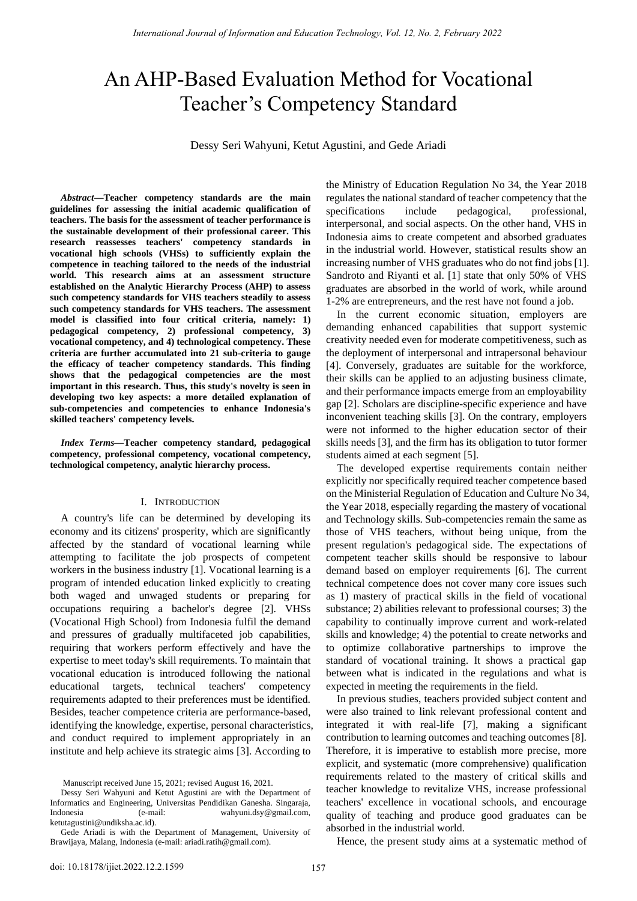# An AHP-Based Evaluation Method for Vocational Teacher's Competency Standard

Dessy Seri Wahyuni, Ketut Agustini, and Gede Ariadi

*Abstract***—Teacher competency standards are the main guidelines for assessing the initial academic qualification of teachers. The basis for the assessment of teacher performance is the sustainable development of their professional career. This research reassesses teachers' competency standards in vocational high schools (VHSs) to sufficiently explain the competence in teaching tailored to the needs of the industrial world. This research aims at an assessment structure established on the Analytic Hierarchy Process (AHP) to assess such competency standards for VHS teachers steadily to assess such competency standards for VHS teachers. The assessment model is classified into four critical criteria, namely: 1) pedagogical competency, 2) professional competency, 3) vocational competency, and 4) technological competency. These criteria are further accumulated into 21 sub-criteria to gauge the efficacy of teacher competency standards. This finding shows that the pedagogical competencies are the most important in this research. Thus, this study's novelty is seen in developing two key aspects: a more detailed explanation of sub-competencies and competencies to enhance Indonesia's skilled teachers' competency levels.** 

*Index Terms***—Teacher competency standard, pedagogical competency, professional competency, vocational competency, technological competency, analytic hierarchy process.** 

#### I. INTRODUCTION

A country's life can be determined by developing its economy and its citizens' prosperity, which are significantly affected by the standard of vocational learning while attempting to facilitate the job prospects of competent workers in the business industry [1]. Vocational learning is a program of intended education linked explicitly to creating both waged and unwaged students or preparing for occupations requiring a bachelor's degree [2]. VHSs (Vocational High School) from Indonesia fulfil the demand and pressures of gradually multifaceted job capabilities, requiring that workers perform effectively and have the expertise to meet today's skill requirements. To maintain that vocational education is introduced following the national educational targets, technical teachers' competency requirements adapted to their preferences must be identified. Besides, teacher competence criteria are performance-based, identifying the knowledge, expertise, personal characteristics, and conduct required to implement appropriately in an institute and help achieve its strategic aims [3]. According to

the Ministry of Education Regulation No 34, the Year 2018 regulates the national standard of teacher competency that the specifications include pedagogical, professional, interpersonal, and social aspects. On the other hand, VHS in Indonesia aims to create competent and absorbed graduates in the industrial world. However, statistical results show an increasing number of VHS graduates who do not find jobs [1]. Sandroto and Riyanti et al. [1] state that only 50% of VHS graduates are absorbed in the world of work, while around 1-2% are entrepreneurs, and the rest have not found a job.

In the current economic situation, employers are demanding enhanced capabilities that support systemic creativity needed even for moderate competitiveness, such as the deployment of interpersonal and intrapersonal behaviour [4]. Conversely, graduates are suitable for the workforce, their skills can be applied to an adjusting business climate, and their performance impacts emerge from an employability gap [2]. Scholars are discipline-specific experience and have inconvenient teaching skills [3]. On the contrary, employers were not informed to the higher education sector of their skills needs [3], and the firm has its obligation to tutor former students aimed at each segment [5].

The developed expertise requirements contain neither explicitly nor specifically required teacher competence based on the Ministerial Regulation of Education and Culture No 34, the Year 2018, especially regarding the mastery of vocational and Technology skills. Sub-competencies remain the same as those of VHS teachers, without being unique, from the present regulation's pedagogical side. The expectations of competent teacher skills should be responsive to labour demand based on employer requirements [6]. The current technical competence does not cover many core issues such as 1) mastery of practical skills in the field of vocational substance; 2) abilities relevant to professional courses; 3) the capability to continually improve current and work-related skills and knowledge; 4) the potential to create networks and to optimize collaborative partnerships to improve the standard of vocational training. It shows a practical gap between what is indicated in the regulations and what is expected in meeting the requirements in the field.

In previous studies, teachers provided subject content and were also trained to link relevant professional content and integrated it with real-life [7], making a significant contribution to learning outcomes and teaching outcomes [8]. Therefore, it is imperative to establish more precise, more explicit, and systematic (more comprehensive) qualification requirements related to the mastery of critical skills and teacher knowledge to revitalize VHS, increase professional teachers' excellence in vocational schools, and encourage quality of teaching and produce good graduates can be absorbed in the industrial world.

Hence, the present study aims at a systematic method of

Manuscript received June 15, 2021; revised August 16, 2021.

Dessy Seri Wahyuni and Ketut Agustini are with the Department of Informatics and Engineering, Universitas Pendidikan Ganesha. Singaraja, Indonesia (e-mail: wahyuni.dsy@gmail.com, ketutagustini@undiksha.ac.id).

Gede Ariadi is with the Department of Management, University of Brawijaya, Malang, Indonesia (e-mail: ariadi.ratih@gmail.com).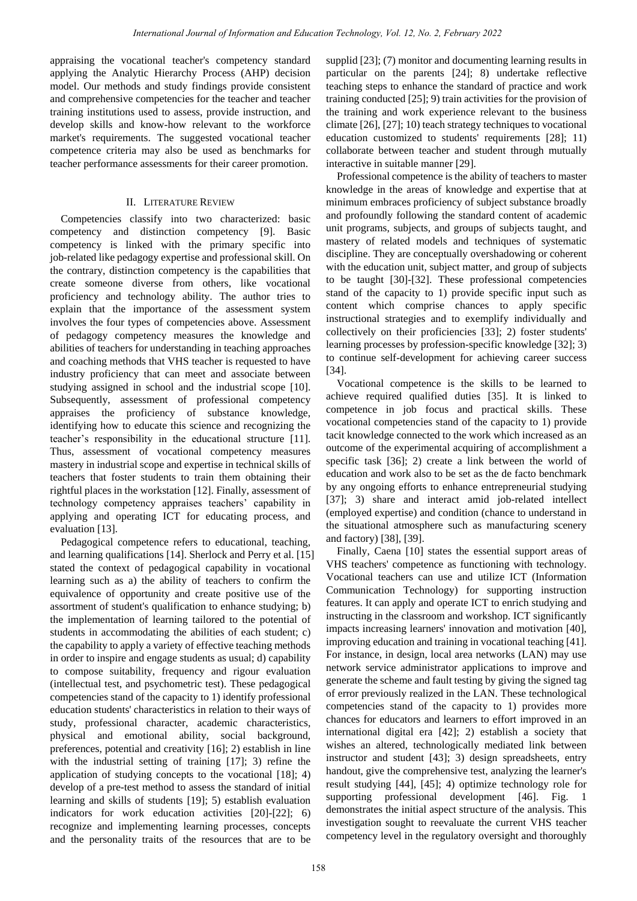appraising the vocational teacher's competency standard applying the Analytic Hierarchy Process (AHP) decision model. Our methods and study findings provide consistent and comprehensive competencies for the teacher and teacher training institutions used to assess, provide instruction, and develop skills and know-how relevant to the workforce market's requirements. The suggested vocational teacher competence criteria may also be used as benchmarks for teacher performance assessments for their career promotion.

# II. LITERATURE REVIEW

Competencies classify into two characterized: basic competency and distinction competency [9]. Basic competency is linked with the primary specific into job-related like pedagogy expertise and professional skill. On the contrary, distinction competency is the capabilities that create someone diverse from others, like vocational proficiency and technology ability. The author tries to explain that the importance of the assessment system involves the four types of competencies above. Assessment of pedagogy competency measures the knowledge and abilities of teachers for understanding in teaching approaches and coaching methods that VHS teacher is requested to have industry proficiency that can meet and associate between studying assigned in school and the industrial scope [10]. Subsequently, assessment of professional competency appraises the proficiency of substance knowledge, identifying how to educate this science and recognizing the teacher's responsibility in the educational structure [11]. Thus, assessment of vocational competency measures mastery in industrial scope and expertise in technical skills of teachers that foster students to train them obtaining their rightful places in the workstation [12]. Finally, assessment of technology competency appraises teachers' capability in applying and operating ICT for educating process, and evaluation [13].

Pedagogical competence refers to educational, teaching, and learning qualifications [14]. Sherlock and Perry et al. [15] stated the context of pedagogical capability in vocational learning such as a) the ability of teachers to confirm the equivalence of opportunity and create positive use of the assortment of student's qualification to enhance studying; b) the implementation of learning tailored to the potential of students in accommodating the abilities of each student; c) the capability to apply a variety of effective teaching methods in order to inspire and engage students as usual; d) capability to compose suitability, frequency and rigour evaluation (intellectual test, and psychometric test). These pedagogical competencies stand of the capacity to 1) identify professional education students' characteristics in relation to their ways of study, professional character, academic characteristics, physical and emotional ability, social background, preferences, potential and creativity [16]; 2) establish in line with the industrial setting of training [17]; 3) refine the application of studying concepts to the vocational [18]; 4) develop of a pre-test method to assess the standard of initial learning and skills of students [19]; 5) establish evaluation indicators for work education activities [20]-[22]; 6) recognize and implementing learning processes, concepts and the personality traits of the resources that are to be

supplid [23]; (7) monitor and documenting learning results in particular on the parents [24]; 8) undertake reflective teaching steps to enhance the standard of practice and work training conducted [25]; 9) train activities for the provision of the training and work experience relevant to the business climate [26], [27]; 10) teach strategy techniques to vocational education customized to students' requirements [28]; 11) collaborate between teacher and student through mutually interactive in suitable manner [29].

Professional competence is the ability of teachers to master knowledge in the areas of knowledge and expertise that at minimum embraces proficiency of subject substance broadly and profoundly following the standard content of academic unit programs, subjects, and groups of subjects taught, and mastery of related models and techniques of systematic discipline. They are conceptually overshadowing or coherent with the education unit, subject matter, and group of subjects to be taught [30]-[32]. These professional competencies stand of the capacity to 1) provide specific input such as content which comprise chances to apply specific instructional strategies and to exemplify individually and collectively on their proficiencies [33]; 2) foster students' learning processes by profession-specific knowledge [32]; 3) to continue self-development for achieving career success [34].

Vocational competence is the skills to be learned to achieve required qualified duties [35]. It is linked to competence in job focus and practical skills. These vocational competencies stand of the capacity to 1) provide tacit knowledge connected to the work which increased as an outcome of the experimental acquiring of accomplishment a specific task [36]; 2) create a link between the world of education and work also to be set as the de facto benchmark by any ongoing efforts to enhance entrepreneurial studying [37]; 3) share and interact amid job-related intellect (employed expertise) and condition (chance to understand in the situational atmosphere such as manufacturing scenery and factory) [38], [39].

Finally, Caena [10] states the essential support areas of VHS teachers' competence as functioning with technology. Vocational teachers can use and utilize ICT (Information Communication Technology) for supporting instruction features. It can apply and operate ICT to enrich studying and instructing in the classroom and workshop. ICT significantly impacts increasing learners' innovation and motivation [40], improving education and training in vocational teaching [41]. For instance, in design, local area networks (LAN) may use network service administrator applications to improve and generate the scheme and fault testing by giving the signed tag of error previously realized in the LAN. These technological competencies stand of the capacity to 1) provides more chances for educators and learners to effort improved in an international digital era [42]; 2) establish a society that wishes an altered, technologically mediated link between instructor and student [43]; 3) design spreadsheets, entry handout, give the comprehensive test, analyzing the learner's result studying [44], [45]; 4) optimize technology role for supporting professional development [46]. Fig. 1 demonstrates the initial aspect structure of the analysis. This investigation sought to reevaluate the current VHS teacher competency level in the regulatory oversight and thoroughly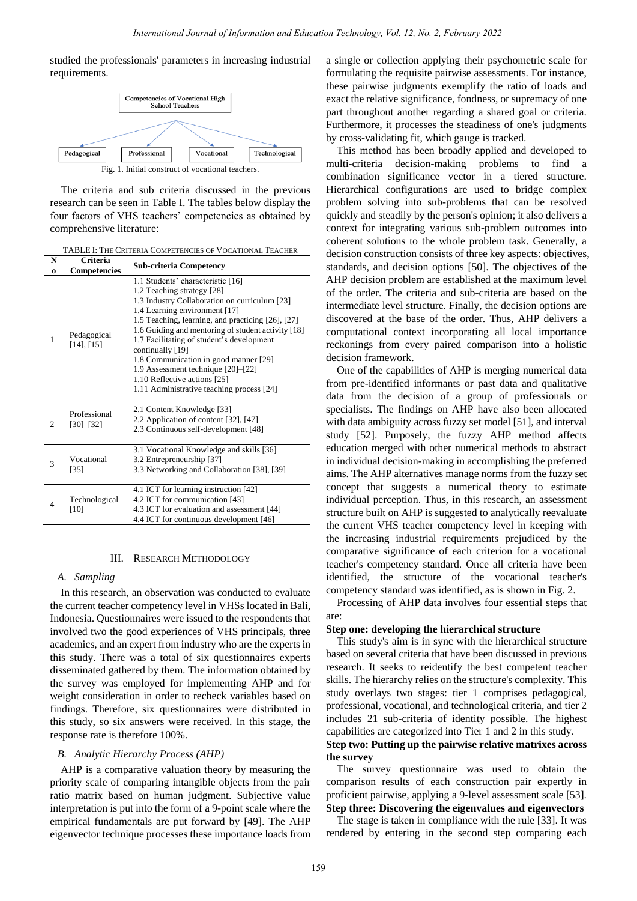studied the professionals' parameters in increasing industrial requirements.



The criteria and sub criteria discussed in the previous research can be seen in Table I. The tables below display the four factors of VHS teachers' competencies as obtained by comprehensive literature:

| TABLE I: THE CRITERIA COMPETENCIES OF VOCATIONAL TEACHER |  |  |
|----------------------------------------------------------|--|--|
|----------------------------------------------------------|--|--|

| N              | Criteria                    | <b>Sub-criteria Competency</b>                                                                                                                                                                                                                                                                                                                                                                                                                                                            |  |
|----------------|-----------------------------|-------------------------------------------------------------------------------------------------------------------------------------------------------------------------------------------------------------------------------------------------------------------------------------------------------------------------------------------------------------------------------------------------------------------------------------------------------------------------------------------|--|
| $\bf o$        | Competencies                |                                                                                                                                                                                                                                                                                                                                                                                                                                                                                           |  |
| 1              | Pedagogical<br>[14], [15]   | 1.1 Students' characteristic [16]<br>1.2 Teaching strategy [28]<br>1.3 Industry Collaboration on curriculum [23]<br>1.4 Learning environment [17]<br>1.5 Teaching, learning, and practicing [26], [27]<br>1.6 Guiding and mentoring of student activity [18]<br>1.7 Facilitating of student's development<br>continually [19]<br>1.8 Communication in good manner [29]<br>1.9 Assessment technique [20]-[22]<br>1.10 Reflective actions [25]<br>1.11 Administrative teaching process [24] |  |
| $\overline{c}$ | Professional<br>$[30]-[32]$ | 2.1 Content Knowledge [33]<br>2.2 Application of content [32], [47]<br>2.3 Continuous self-development [48]                                                                                                                                                                                                                                                                                                                                                                               |  |
| 3              | Vocational<br>[35]          | 3.1 Vocational Knowledge and skills [36]<br>3.2 Entrepreneurship [37]<br>3.3 Networking and Collaboration [38], [39]                                                                                                                                                                                                                                                                                                                                                                      |  |
| 4              | Technological<br>[10]       | 4.1 ICT for learning instruction [42]<br>4.2 ICT for communication [43]<br>4.3 ICT for evaluation and assessment [44]<br>4.4 ICT for continuous development [46]                                                                                                                                                                                                                                                                                                                          |  |

#### III. RESEARCH METHODOLOGY

#### *A. Sampling*

In this research, an observation was conducted to evaluate the current teacher competency level in VHSs located in Bali, Indonesia. Questionnaires were issued to the respondents that involved two the good experiences of VHS principals, three academics, and an expert from industry who are the experts in this study. There was a total of six questionnaires experts disseminated gathered by them. The information obtained by the survey was employed for implementing AHP and for weight consideration in order to recheck variables based on findings. Therefore, six questionnaires were distributed in this study, so six answers were received. In this stage, the response rate is therefore 100%.

#### *B. Analytic Hierarchy Process (AHP)*

AHP is a comparative valuation theory by measuring the priority scale of comparing intangible objects from the pair ratio matrix based on human judgment. Subjective value interpretation is put into the form of a 9-point scale where the empirical fundamentals are put forward by [49]. The AHP eigenvector technique processes these importance loads from a single or collection applying their psychometric scale for formulating the requisite pairwise assessments. For instance, these pairwise judgments exemplify the ratio of loads and exact the relative significance, fondness, or supremacy of one part throughout another regarding a shared goal or criteria. Furthermore, it processes the steadiness of one's judgments by cross-validating fit, which gauge is tracked.

This method has been broadly applied and developed to multi-criteria decision-making problems to find a combination significance vector in a tiered structure. Hierarchical configurations are used to bridge complex problem solving into sub-problems that can be resolved quickly and steadily by the person's opinion; it also delivers a context for integrating various sub-problem outcomes into coherent solutions to the whole problem task. Generally, a decision construction consists of three key aspects: objectives, standards, and decision options [50]. The objectives of the AHP decision problem are established at the maximum level of the order. The criteria and sub-criteria are based on the intermediate level structure. Finally, the decision options are discovered at the base of the order. Thus, AHP delivers a computational context incorporating all local importance reckonings from every paired comparison into a holistic decision framework.

One of the capabilities of AHP is merging numerical data from pre-identified informants or past data and qualitative data from the decision of a group of professionals or specialists. The findings on AHP have also been allocated with data ambiguity across fuzzy set model [51], and interval study [52]. Purposely, the fuzzy AHP method affects education merged with other numerical methods to abstract in individual decision-making in accomplishing the preferred aims. The AHP alternatives manage norms from the fuzzy set concept that suggests a numerical theory to estimate individual perception. Thus, in this research, an assessment structure built on AHP is suggested to analytically reevaluate the current VHS teacher competency level in keeping with the increasing industrial requirements prejudiced by the comparative significance of each criterion for a vocational teacher's competency standard. Once all criteria have been identified, the structure of the vocational teacher's competency standard was identified, as is shown in Fig. 2.

Processing of AHP data involves four essential steps that are:

#### **Step one: developing the hierarchical structure**

This study's aim is in sync with the hierarchical structure based on several criteria that have been discussed in previous research. It seeks to reidentify the best competent teacher skills. The hierarchy relies on the structure's complexity. This study overlays two stages: tier 1 comprises pedagogical, professional, vocational, and technological criteria, and tier 2 includes 21 sub-criteria of identity possible. The highest capabilities are categorized into Tier 1 and 2 in this study.

## **Step two: Putting up the pairwise relative matrixes across the survey**

The survey questionnaire was used to obtain the comparison results of each construction pair expertly in proficient pairwise, applying a 9-level assessment scale [53]. **Step three: Discovering the eigenvalues and eigenvectors** 

The stage is taken in compliance with the rule [33]. It was rendered by entering in the second step comparing each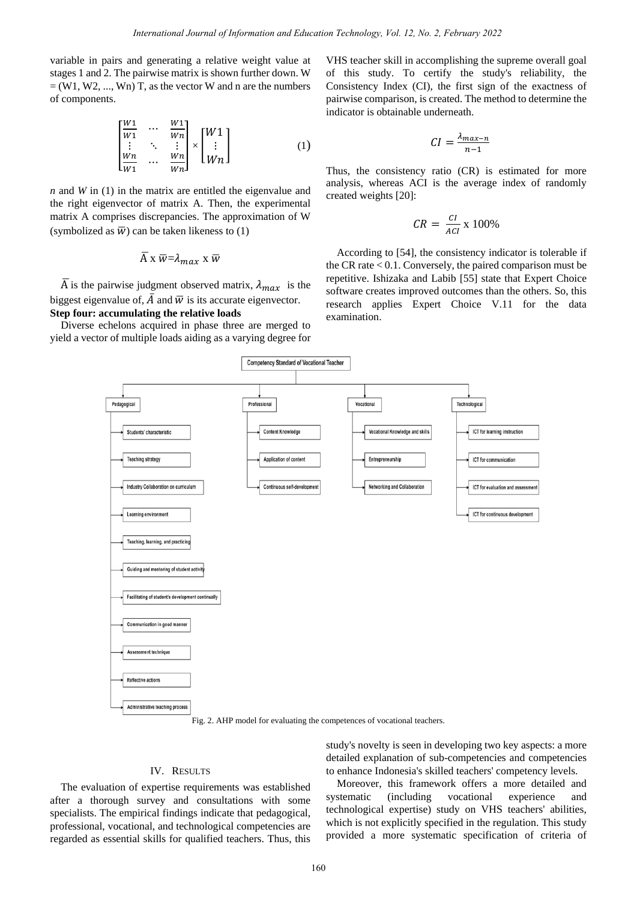variable in pairs and generating a relative weight value at stages 1 and 2. The pairwise matrix is shown further down. W  $=$  (W1, W2, ..., Wn) T, as the vector W and n are the numbers of components.

$$
\begin{bmatrix}\n\frac{W_1}{W_1} & \cdots & \frac{W_1}{W_n} \\
\vdots & \ddots & \vdots \\
\frac{W_n}{W_1} & \cdots & \frac{W_n}{W_n}\n\end{bmatrix} \times \begin{bmatrix}\nW_1 \\
\vdots \\
W_n\n\end{bmatrix}
$$
\n(1)

*n* and *W* in (1) in the matrix are entitled the eigenvalue and the right eigenvector of matrix A. Then, the experimental matrix A comprises discrepancies. The approximation of W (symbolized as  $\overline{w}$ ) can be taken likeness to (1)

$$
\overline{A} \times \overline{w} = \lambda_{max} \times \overline{w}
$$

 $\overline{A}$  is the pairwise judgment observed matrix,  $\lambda_{max}$  is the biggest eigenvalue of,  $\overline{A}$  and  $\overline{w}$  is its accurate eigenvector. **Step four: accumulating the relative loads** 

Diverse echelons acquired in phase three are merged to yield a vector of multiple loads aiding as a varying degree for

VHS teacher skill in accomplishing the supreme overall goal of this study. To certify the study's reliability, the Consistency Index (CI), the first sign of the exactness of pairwise comparison, is created. The method to determine the indicator is obtainable underneath.

$$
CI = \frac{\lambda_{max-n}}{n-1}
$$

Thus, the consistency ratio (CR) is estimated for more analysis, whereas ACI is the average index of randomly created weights [20]:

$$
CR = \frac{CI}{ACI} \times 100\%
$$

According to [54], the consistency indicator is tolerable if the CR rate  $< 0.1$ . Conversely, the paired comparison must be repetitive. Ishizaka and Labib [55] state that Expert Choice software creates improved outcomes than the others. So, this research applies Expert Choice V.11 for the data examination.



Fig. 2. AHP model for evaluating the competences of vocational teachers.

### IV. RESULTS

The evaluation of expertise requirements was established after a thorough survey and consultations with some specialists. The empirical findings indicate that pedagogical, professional, vocational, and technological competencies are regarded as essential skills for qualified teachers. Thus, this

study's novelty is seen in developing two key aspects: a more detailed explanation of sub-competencies and competencies to enhance Indonesia's skilled teachers' competency levels.

Moreover, this framework offers a more detailed and systematic (including vocational experience and technological expertise) study on VHS teachers' abilities, which is not explicitly specified in the regulation. This study provided a more systematic specification of criteria of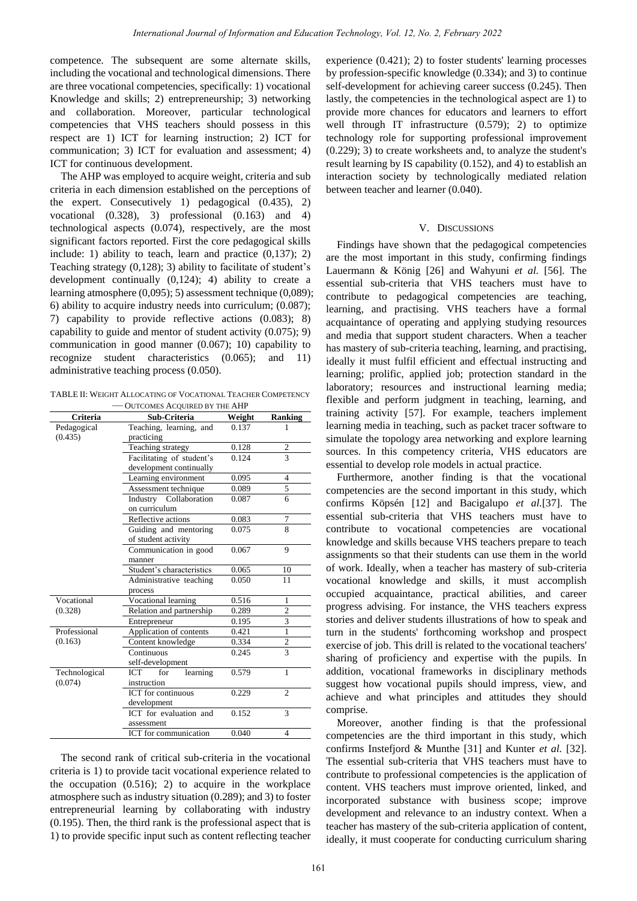competence. The subsequent are some alternate skills, including the vocational and technological dimensions. There are three vocational competencies, specifically: 1) vocational Knowledge and skills; 2) entrepreneurship; 3) networking and collaboration. Moreover, particular technological competencies that VHS teachers should possess in this respect are 1) ICT for learning instruction; 2) ICT for communication; 3) ICT for evaluation and assessment; 4) ICT for continuous development.

The AHP was employed to acquire weight, criteria and sub criteria in each dimension established on the perceptions of the expert. Consecutively 1) pedagogical (0.435), 2) vocational (0.328), 3) professional (0.163) and 4) technological aspects (0.074), respectively, are the most significant factors reported. First the core pedagogical skills include: 1) ability to teach, learn and practice (0,137); 2) Teaching strategy (0,128); 3) ability to facilitate of student's development continually (0,124); 4) ability to create a learning atmosphere (0,095); 5) assessment technique (0,089); 6) ability to acquire industry needs into curriculum; (0.087); 7) capability to provide reflective actions (0.083); 8) capability to guide and mentor of student activity (0.075); 9) communication in good manner (0.067); 10) capability to recognize student characteristics (0.065); and 11) administrative teaching process (0.050).

TABLE II: WEIGHT ALLOCATING OF VOCATIONAL TEACHER COMPETENCY  $=$  Outcomes Acquired by the AHP

| <b>Criteria</b> | Sub-Criteria              | Weight | <b>Ranking</b> |
|-----------------|---------------------------|--------|----------------|
| Pedagogical     | Teaching, learning, and   | 0.137  | 1              |
| (0.435)         | practicing                |        |                |
|                 | Teaching strategy         | 0.128  | 2              |
|                 | Facilitating of student's | 0.124  | 3              |
|                 | development continually   |        |                |
|                 | Learning environment      | 0.095  | 4              |
|                 | Assessment technique      | 0.089  | 5              |
|                 | Industry Collaboration    | 0.087  | 6              |
|                 | on curriculum             |        |                |
|                 | Reflective actions        | 0.083  | 7              |
|                 | Guiding and mentoring     | 0.075  | $\mathbf{8}$   |
|                 | of student activity       |        |                |
|                 | Communication in good     | 0.067  | 9              |
|                 | manner                    |        |                |
|                 | Student's characteristics | 0.065  | 10             |
|                 | Administrative teaching   | 0.050  | 11             |
|                 | process                   |        |                |
| Vocational      | Vocational learning       | 0.516  | 1              |
| (0.328)         | Relation and partnership  | 0.289  | $\mathfrak{2}$ |
|                 | Entrepreneur              | 0.195  | 3              |
| Professional    | Application of contents   | 0.421  | $\mathbf{1}$   |
| (0.163)         | Content knowledge         | 0.334  | $\overline{c}$ |
|                 | Continuous                | 0.245  | $\mathbf{3}$   |
|                 | self-development          |        |                |
| Technological   | ICT<br>for<br>learning    | 0.579  | $\mathbf{1}$   |
| (0.074)         | instruction               |        |                |
|                 | <b>ICT</b> for continuous | 0.229  | $\overline{c}$ |
|                 | development               |        |                |
|                 | ICT for evaluation and    | 0.152  | 3              |
|                 | assessment                |        |                |
|                 | ICT for communication     | 0.040  | $\overline{4}$ |

The second rank of critical sub-criteria in the vocational criteria is 1) to provide tacit vocational experience related to the occupation  $(0.516)$ ; 2) to acquire in the workplace atmosphere such as industry situation (0.289); and 3) to foster entrepreneurial learning by collaborating with industry (0.195). Then, the third rank is the professional aspect that is 1) to provide specific input such as content reflecting teacher experience (0.421); 2) to foster students' learning processes by profession-specific knowledge (0.334); and 3) to continue self-development for achieving career success (0.245). Then lastly, the competencies in the technological aspect are 1) to provide more chances for educators and learners to effort well through IT infrastructure (0.579); 2) to optimize technology role for supporting professional improvement (0.229); 3) to create worksheets and, to analyze the student's result learning by IS capability (0.152), and 4) to establish an interaction society by technologically mediated relation between teacher and learner (0.040).

### V. DISCUSSIONS

Findings have shown that the pedagogical competencies are the most important in this study, confirming findings Lauermann & König [26] and Wahyuni *et al.* [56]. The essential sub-criteria that VHS teachers must have to contribute to pedagogical competencies are teaching, learning, and practising. VHS teachers have a formal acquaintance of operating and applying studying resources and media that support student characters. When a teacher has mastery of sub-criteria teaching, learning, and practising, ideally it must fulfil efficient and effectual instructing and learning; prolific, applied job; protection standard in the laboratory; resources and instructional learning media; flexible and perform judgment in teaching, learning, and training activity [57]. For example, teachers implement learning media in teaching, such as packet tracer software to simulate the topology area networking and explore learning sources. In this competency criteria, VHS educators are essential to develop role models in actual practice.

Furthermore, another finding is that the vocational competencies are the second important in this study, which confirms Köpsén [12] and Bacigalupo *et al.*[37]. The essential sub-criteria that VHS teachers must have to contribute to vocational competencies are vocational knowledge and skills because VHS teachers prepare to teach assignments so that their students can use them in the world of work. Ideally, when a teacher has mastery of sub-criteria vocational knowledge and skills, it must accomplish occupied acquaintance, practical abilities, and career progress advising. For instance, the VHS teachers express stories and deliver students illustrations of how to speak and turn in the students' forthcoming workshop and prospect exercise of job. This drill is related to the vocational teachers' sharing of proficiency and expertise with the pupils. In addition, vocational frameworks in disciplinary methods suggest how vocational pupils should impress, view, and achieve and what principles and attitudes they should comprise.

Moreover, another finding is that the professional competencies are the third important in this study, which confirms Instefjord & Munthe [31] and Kunter *et al.* [32]. The essential sub-criteria that VHS teachers must have to contribute to professional competencies is the application of content. VHS teachers must improve oriented, linked, and incorporated substance with business scope; improve development and relevance to an industry context. When a teacher has mastery of the sub-criteria application of content, ideally, it must cooperate for conducting curriculum sharing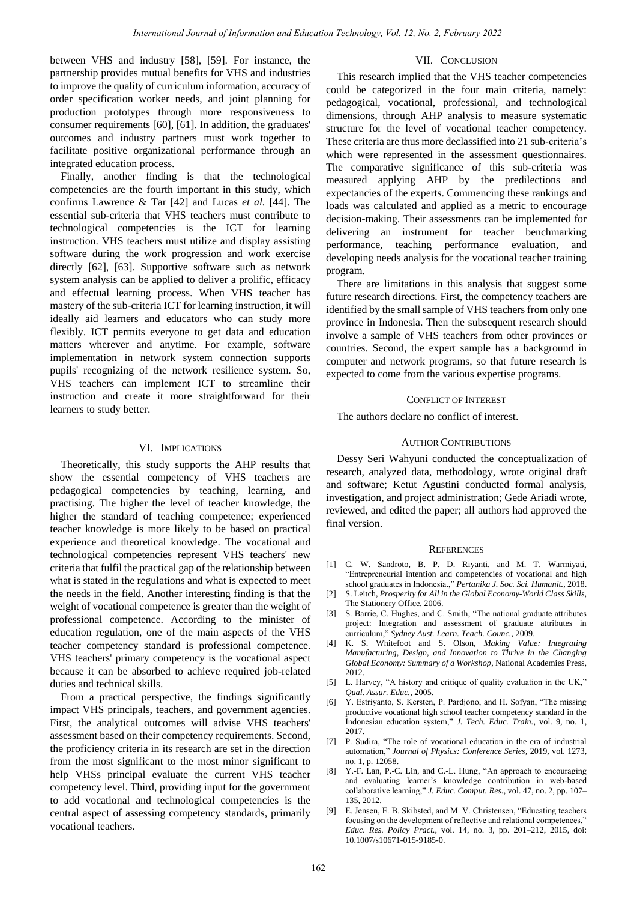between VHS and industry [58], [59]. For instance, the partnership provides mutual benefits for VHS and industries to improve the quality of curriculum information, accuracy of order specification worker needs, and joint planning for production prototypes through more responsiveness to consumer requirements [60], [61]. In addition, the graduates' outcomes and industry partners must work together to facilitate positive organizational performance through an integrated education process.

Finally, another finding is that the technological competencies are the fourth important in this study, which confirms Lawrence & Tar [42] and Lucas *et al.* [44]. The essential sub-criteria that VHS teachers must contribute to technological competencies is the ICT for learning instruction. VHS teachers must utilize and display assisting software during the work progression and work exercise directly [62], [63]. Supportive software such as network system analysis can be applied to deliver a prolific, efficacy and effectual learning process. When VHS teacher has mastery of the sub-criteria ICT for learning instruction, it will ideally aid learners and educators who can study more flexibly. ICT permits everyone to get data and education matters wherever and anytime. For example, software implementation in network system connection supports pupils' recognizing of the network resilience system. So, VHS teachers can implement ICT to streamline their instruction and create it more straightforward for their learners to study better.

## VI. IMPLICATIONS

Theoretically, this study supports the AHP results that show the essential competency of VHS teachers are pedagogical competencies by teaching, learning, and practising. The higher the level of teacher knowledge, the higher the standard of teaching competence; experienced teacher knowledge is more likely to be based on practical experience and theoretical knowledge. The vocational and technological competencies represent VHS teachers' new criteria that fulfil the practical gap of the relationship between what is stated in the regulations and what is expected to meet the needs in the field. Another interesting finding is that the weight of vocational competence is greater than the weight of professional competence. According to the minister of education regulation, one of the main aspects of the VHS teacher competency standard is professional competence. VHS teachers' primary competency is the vocational aspect because it can be absorbed to achieve required job-related duties and technical skills.

From a practical perspective, the findings significantly impact VHS principals, teachers, and government agencies. First, the analytical outcomes will advise VHS teachers' assessment based on their competency requirements. Second, the proficiency criteria in its research are set in the direction from the most significant to the most minor significant to help VHSs principal evaluate the current VHS teacher competency level. Third, providing input for the government to add vocational and technological competencies is the central aspect of assessing competency standards, primarily vocational teachers.

# VII. CONCLUSION

This research implied that the VHS teacher competencies could be categorized in the four main criteria, namely: pedagogical, vocational, professional, and technological dimensions, through AHP analysis to measure systematic structure for the level of vocational teacher competency. These criteria are thus more declassified into 21 sub-criteria's which were represented in the assessment questionnaires. The comparative significance of this sub-criteria was measured applying AHP by the predilections and expectancies of the experts. Commencing these rankings and loads was calculated and applied as a metric to encourage decision-making. Their assessments can be implemented for delivering an instrument for teacher benchmarking performance, teaching performance evaluation, and developing needs analysis for the vocational teacher training program.

There are limitations in this analysis that suggest some future research directions. First, the competency teachers are identified by the small sample of VHS teachers from only one province in Indonesia. Then the subsequent research should involve a sample of VHS teachers from other provinces or countries. Second, the expert sample has a background in computer and network programs, so that future research is expected to come from the various expertise programs.

#### CONFLICT OF INTEREST

The authors declare no conflict of interest.

## AUTHOR CONTRIBUTIONS

Dessy Seri Wahyuni conducted the conceptualization of research, analyzed data, methodology, wrote original draft and software; Ketut Agustini conducted formal analysis, investigation, and project administration; Gede Ariadi wrote, reviewed, and edited the paper; all authors had approved the final version.

#### **REFERENCES**

- [1] C. W. Sandroto, B. P. D. Riyanti, and M. T. Warmiyati, ―Entrepreneurial intention and competencies of vocational and high school graduates in Indonesia.," Pertanika J. Soc. Sci. Humanit., 2018.
- [2] S. Leitch, *Prosperity for All in the Global Economy-World Class Skills*, The Stationery Office, 2006.
- [3] S. Barrie, C. Hughes, and C. Smith, "The national graduate attributes project: Integration and assessment of graduate attributes in curriculum,‖ *Sydney Aust. Learn. Teach. Counc.*, 2009.
- [4] K. S. Whitefoot and S. Olson, *Making Value: Integrating Manufacturing, Design, and Innovation to Thrive in the Changing Global Economy: Summary of a Workshop*, National Academies Press, 2012.
- [5] L. Harvey, "A history and critique of quality evaluation in the UK," *Qual. Assur. Educ.*, 2005.
- [6] Y. Estriyanto, S. Kersten, P. Pardjono, and H. Sofyan, "The missing productive vocational high school teacher competency standard in the Indonesian education system," *J. Tech. Educ. Train.*, vol. 9, no. 1, 2017.
- [7] P. Sudira, "The role of vocational education in the era of industrial automation,‖ *Journal of Physics: Conference Series*, 2019, vol. 1273, no. 1, p. 12058.
- [8] Y.-F. Lan, P.-C. Lin, and C.-L. Hung, "An approach to encouraging and evaluating learner's knowledge contribution in web-based collaborative learning," *J. Educ. Comput. Res.*, vol. 47, no. 2, pp. 107– 135, 2012.
- [9] E. Jensen, E. B. Skibsted, and M. V. Christensen, "Educating teachers focusing on the development of reflective and relational competences,' *Educ. Res. Policy Pract.*, vol. 14, no. 3, pp. 201–212, 2015, doi: 10.1007/s10671-015-9185-0.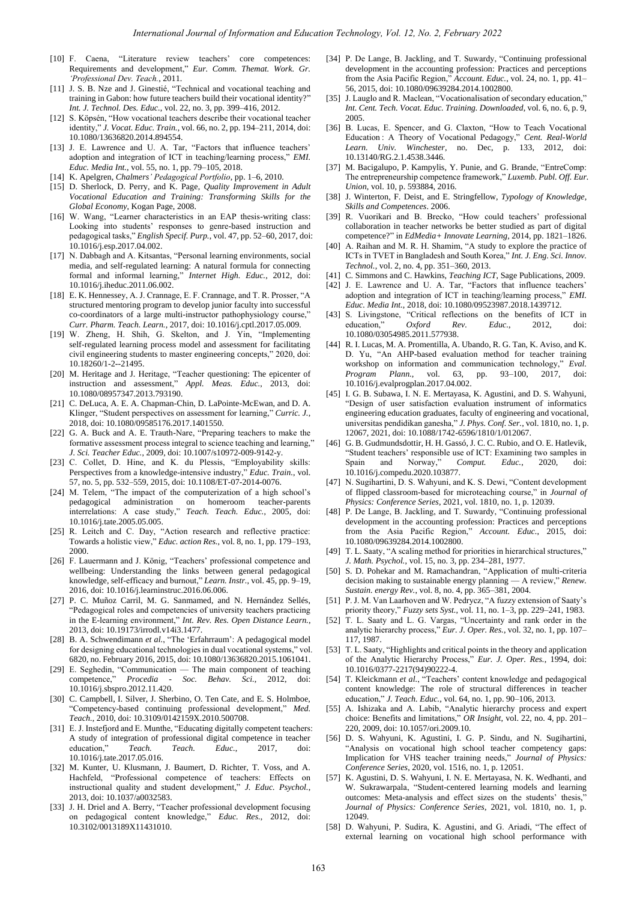- [10] F. Caena, "Literature review teachers' core competences: Requirements and development," *Eur. Comm. Themat. Work. Gr. 'Professional Dev. Teach.*, 2011.
- [11] J. S. B. Nze and J. Ginestié, "Technical and vocational teaching and training in Gabon: how future teachers build their vocational identity?" *Int. J. Technol. Des. Educ.*, vol. 22, no. 3, pp. 399–416, 2012.
- [12] S. Köpsén, "How vocational teachers describe their vocational teacher identity," *J. Vocat. Educ. Train.*, vol. 66, no. 2, pp. 194-211, 2014, doi: 10.1080/13636820.2014.894554.
- [13] J. E. Lawrence and U. A. Tar, "Factors that influence teachers' adoption and integration of ICT in teaching/learning process," EMI. *Educ. Media Int.*, vol. 55, no. 1, pp. 79–105, 2018.
- [14] K. Apelgren, *Chalmers' Pedagogical Portfolio*, pp. 1–6, 2010.
- [15] D. Sherlock, D. Perry, and K. Page, *Quality Improvement in Adult Vocational Education and Training: Transforming Skills for the Global Economy*, Kogan Page, 2008.
- [16] W. Wang, "Learner characteristics in an EAP thesis-writing class: Looking into students' responses to genre-based instruction and pedagogical tasks," *English Specif. Purp.*, vol. 47, pp. 52-60, 2017, doi: 10.1016/j.esp.2017.04.002.
- [17] N. Dabbagh and A. Kitsantas, "Personal learning environments, social media, and self-regulated learning: A natural formula for connecting formal and informal learning," Internet High. Educ., 2012, doi: 10.1016/j.iheduc.2011.06.002.
- [18] E. K. Hennessey, A. J. Crannage, E. F. Crannage, and T. R. Prosser, "A structured mentoring program to develop junior faculty into successful co-coordinators of a large multi-instructor pathophysiology course," *Curr. Pharm. Teach. Learn.*, 2017, doi: 10.1016/j.cptl.2017.05.009.
- [19] W. Zheng, H. Shih, G. Skelton, and J. Yin, "Implementing self-regulated learning process model and assessment for facilitating civil engineering students to master engineering concepts," 2020, doi: 10.18260/1-2--21495.
- [20] M. Heritage and J. Heritage, "Teacher questioning: The epicenter of instruction and assessment," *Appl. Meas. Educ.*, 2013, doi: 10.1080/08957347.2013.793190.
- [21] C. DeLuca, A. E. A. Chapman-Chin, D. LaPointe-McEwan, and D. A. Klinger, "Student perspectives on assessment for learning," Curric. J., 2018, doi: 10.1080/09585176.2017.1401550.
- [22] G. A. Buck and A. E. Trauth-Nare, "Preparing teachers to make the formative assessment process integral to science teaching and learning," *J. Sci. Teacher Educ.*, 2009, doi: 10.1007/s10972-009-9142-y.
- [23] C. Collet, D. Hine, and K. du Plessis, "Employability skills: Perspectives from a knowledge-intensive industry," *Educ. Train.*, vol. 57, no. 5, pp. 532–559, 2015, doi: 10.1108/ET-07-2014-0076.
- [24] M. Telem, "The impact of the computerization of a high school's pedagogical administration on homeroom teacher-parents interrelations: A case study," *Teach. Teach. Educ.*, 2005, doi: 10.1016/j.tate.2005.05.005.
- [25] R. Leitch and C. Day, "Action research and reflective practice: Towards a holistic view," *Educ. action Res.*, vol. 8, no. 1, pp. 179–193, 2000.
- [26] F. Lauermann and J. König, "Teachers' professional competence and wellbeing: Understanding the links between general pedagogical knowledge, self-efficacy and burnout," *Learn. Instr.*, vol. 45, pp. 9-19, 2016, doi: 10.1016/j.learninstruc.2016.06.006.
- [27] P. C. Muñoz Carril, M. G. Sanmamed, and N. Hernández Sellés, ―Pedagogical roles and competencies of university teachers practicing in the E-learning environment," Int. Rev. Res. Open Distance Learn., 2013, doi: 10.19173/irrodl.v14i3.1477.
- [28] B. A. Schwendimann *et al.*, "The 'Erfahrraum': A pedagogical model for designing educational technologies in dual vocational systems," vol. 6820, no. February 2016, 2015, doi: 10.1080/13636820.2015.1061041.
- [29] E. Seghedin, "Communication The main component of teaching competence,‖ *Procedia - Soc. Behav. Sci.*, 2012, doi: 10.1016/j.sbspro.2012.11.420.
- [30] C. Campbell, I. Silver, J. Sherbino, O. Ten Cate, and E. S. Holmboe, ―Competency-based continuing professional development,‖ *Med. Teach.*, 2010, doi: 10.3109/0142159X.2010.500708.
- [31] E. J. Instefjord and E. Munthe, "Educating digitally competent teachers: A study of integration of professional digital competence in teacher education,‖ *Teach. Teach. Educ.*, 2017, doi: 10.1016/j.tate.2017.05.016.
- [32] M. Kunter, U. Klusmann, J. Baumert, D. Richter, T. Voss, and A. Hachfeld, "Professional competence of teachers: Effects on instructional quality and student development," J. Educ. Psychol., 2013, doi: 10.1037/a0032583.
- [33] J. H. Driel and A. Berry, "Teacher professional development focusing on pedagogical content knowledge," *Educ. Res.*, 2012, doi: 10.3102/0013189X11431010.
- [34] P. De Lange, B. Jackling, and T. Suwardy, "Continuing professional development in the accounting profession: Practices and perceptions from the Asia Pacific Region,<sup>"</sup> *Account. Educ.*, vol. 24, no. 1, pp. 41– 56, 2015, doi: 10.1080/09639284.2014.1002800.
- [35] J. Lauglo and R. Maclean, "Vocationalisation of secondary education," *Int. Cent. Tech. Vocat. Educ. Training. Downloaded*, vol. 6, no. 6, p. 9, 2005.
- [36] B. Lucas, E. Spencer, and G. Claxton, "How to Teach Vocational Education : A Theory of Vocational Pedagogy," Cent. Real-World *Learn. Univ. Winchester*, no. Dec, p. 133, 2012, doi: 10.13140/RG.2.1.4538.3446.
- [37] M. Bacigalupo, P. Kampylis, Y. Punie, and G. Brande, "EntreComp: The entrepreneurship competence framework," *Luxemb. Publ. Off. Eur. Union*, vol. 10, p. 593884, 2016.
- [38] J. Winterton, F. Deist, and E. Stringfellow, *Typology of Knowledge, Skills and Competences*. 2006.
- [39] R. Vuorikari and B. Brecko, "How could teachers' professional collaboration in teacher networks be better studied as part of digital competence?" in *EdMedia+ Innovate Learning*, 2014, pp. 1821-1826.
- [40] A. Raihan and M. R. H. Shamim, "A study to explore the practice of ICTs in TVET in Bangladesh and South Korea," *Int. J. Eng. Sci. Innov. Technol.*, vol. 2, no. 4, pp. 351–360, 2013.
- [41] C. Simmons and C. Hawkins, *Teaching ICT*, Sage Publications, 2009.
- [42] J. E. Lawrence and U. A. Tar, "Factors that influence teachers' adoption and integration of ICT in teaching/learning process," EMI. *Educ. Media Int.*, 2018, doi: 10.1080/09523987.2018.1439712.
- [43] S. Livingstone, "Critical reflections on the benefits of ICT in education."  $Oxford$   $Rev.$   $Educ.$   $2012.$  doi: education," *Oxford Rev. Educ.*, 2012, doi: 10.1080/03054985.2011.577938.
- [44] R. I. Lucas, M. A. Promentilla, A. Ubando, R. G. Tan, K. Aviso, and K. D. Yu, "An AHP-based evaluation method for teacher training workshop on information and communication technology," *Eval. Program Plann.*, vol. 63, pp. 93–100, 2017, doi: 10.1016/j.evalprogplan.2017.04.002.
- [45] I. G. B. Subawa, I. N. E. Mertayasa, K. Agustini, and D. S. Wahyuni, ―Design of user satisfaction evaluation instrument of informatics engineering education graduates, faculty of engineering and vocational, universitas pendidikan ganesha," *J. Phys. Conf. Ser.*, vol. 1810, no. 1, p. 12067, 2021, doi: 10.1088/1742-6596/1810/1/012067.
- [46] G. B. Gudmundsdottir, H. H. Gass ó, J. C. C. Rubio, and O. E. Hatlevik, "Student teachers' responsible use of ICT: Examining two samples in Spain and Norway," Comput. Educ., 2020, doi: Spain and Norway," *Comput. Educ.*, 2020, doi: 10.1016/j.compedu.2020.103877.
- [47] N. Sugihartini, D. S. Wahyuni, and K. S. Dewi, "Content development of flipped classroom-based for microteaching course," in *Journal of Physics: Conference Series*, 2021, vol. 1810, no. 1, p. 12039.
- [48] P. De Lange, B. Jackling, and T. Suwardy, "Continuing professional development in the accounting profession: Practices and perceptions from the Asia Pacific Region," Account. Educ., 2015, doi: 10.1080/09639284.2014.1002800.
- [49] T. L. Saaty, "A scaling method for priorities in hierarchical structures," *J. Math. Psychol.*, vol. 15, no. 3, pp. 234–281, 1977.
- [50] S. D. Pohekar and M. Ramachandran, "Application of multi-criteria decision making to sustainable energy planning - A review," Renew. *Sustain. energy Rev.*, vol. 8, no. 4, pp. 365–381, 2004.
- [51] P. J. M. Van Laarhoven and W. Pedrycz, "A fuzzy extension of Saaty's priority theory," *Fuzzy sets Syst.*, vol. 11, no. 1-3, pp. 229-241, 1983.
- [52] T. L. Saaty and L. G. Vargas, "Uncertainty and rank order in the analytic hierarchy process," Eur. J. Oper. Res., vol. 32, no. 1, pp. 107-117, 1987.
- [53] T. L. Saaty, "Highlights and critical points in the theory and application of the Analytic Hierarchy Process," Eur. J. Oper. Res., 1994, doi: 10.1016/0377-2217(94)90222-4.
- [54] T. Kleickmann et al., "Teachers' content knowledge and pedagogical content knowledge: The role of structural differences in teacher education," *J. Teach. Educ.*, vol. 64, no. 1, pp. 90-106, 2013.
- [55] A. Ishizaka and A. Labib, "Analytic hierarchy process and expert choice: Benefits and limitations," OR Insight, vol. 22, no. 4, pp. 201– 220, 2009, doi: 10.1057/ori.2009.10.
- [56] D. S. Wahyuni, K. Agustini, I. G. P. Sindu, and N. Sugihartini, ―Analysis on vocational high school teacher competency gaps: Implication for VHS teacher training needs," *Journal of Physics: Conference Series*, 2020, vol. 1516, no. 1, p. 12051.
- [57] K. Agustini, D. S. Wahyuni, I. N. E. Mertayasa, N. K. Wedhanti, and W. Sukrawarpala, "Student-centered learning models and learning outcomes: Meta-analysis and effect sizes on the students' thesis, *Journal of Physics: Conference Series*, 2021, vol. 1810, no. 1, p. 12049.
- [58] D. Wahyuni, P. Sudira, K. Agustini, and G. Ariadi, "The effect of external learning on vocational high school performance with